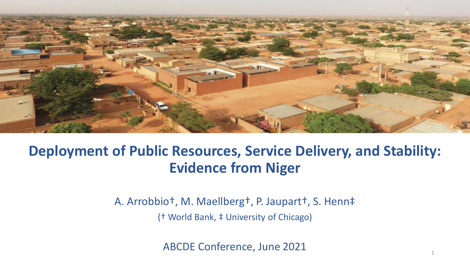

### **Deployment of Public Resources, Service Delivery, and Stability: Evidence from Niger**

A. Arrobbio†, M. Maellberg†, P. Jaupart†, S. Henn‡ († World Bank, ‡ University of Chicago)

ABCDE Conference, June 2021

1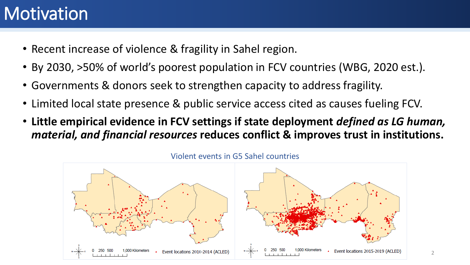### **Motivation**

- Recent increase of violence & fragility in Sahel region.
- By 2030, >50% of world's poorest population in FCV countries (WBG, 2020 est.).
- Governments & donors seek to strengthen capacity to address fragility.
- Limited local state presence & public service access cited as causes fueling FCV.
- **Little empirical evidence in FCV settings if state deployment** *defined as LG human, material, and financial resources* **reduces conflict & improves trust in institutions.**



Violent events in G5 Sahel countries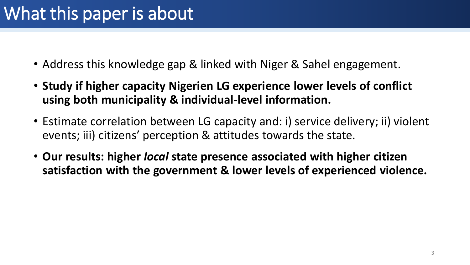- Address this knowledge gap & linked with Niger & Sahel engagement.
- **Study if higher capacity Nigerien LG experience lower levels of conflict using both municipality & individual-level information.**
- Estimate correlation between LG capacity and: i) service delivery; ii) violent events; iii) citizens' perception & attitudes towards the state.
- **Our results: higher** *local* **state presence associated with higher citizen satisfaction with the government & lower levels of experienced violence.**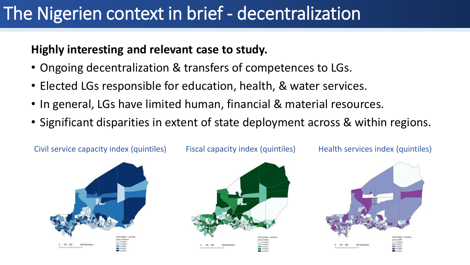### The Nigerien context in brief - decentralization

### **Highly interesting and relevant case to study.**

- Ongoing decentralization & transfers of competences to LGs.
- Elected LGs responsible for education, health, & water services.
- In general, LGs have limited human, financial & material resources.
- Significant disparities in extent of state deployment across & within regions.







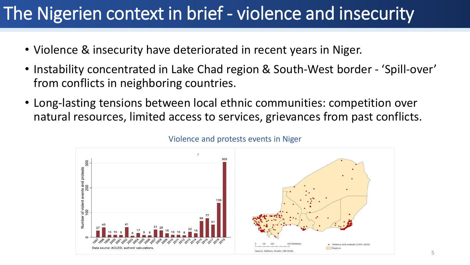### The Nigerien context in brief - violence and insecurity

- Violence & insecurity have deteriorated in recent years in Niger.
- Instability concentrated in Lake Chad region & South-West border 'Spill-over' from conflicts in neighboring countries.
- Long-lasting tensions between local ethnic communities: competition over natural resources, limited access to services, grievances from past conflicts.



#### Violence and protests events in Niger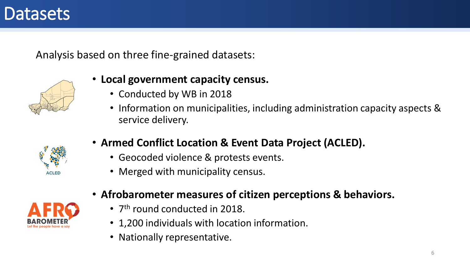### **Datasets**

Analysis based on three fine-grained datasets:



#### • **Local government capacity census.**

- Conducted by WB in 2018
- Information on municipalities, including administration capacity aspects & service delivery.



- **Armed Conflict Location & Event Data Project (ACLED).**
	- Geocoded violence & protests events.
	- Merged with municipality census.



- **Afrobarometer measures of citizen perceptions & behaviors.**
	- 7<sup>th</sup> round conducted in 2018.
	- 1,200 individuals with location information.
	- Nationally representative.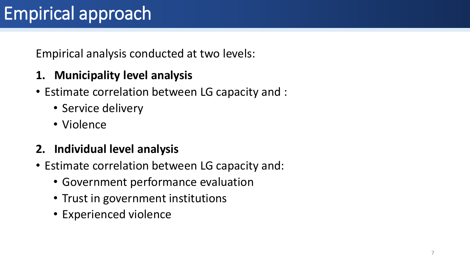# Empirical approach

Empirical analysis conducted at two levels:

- **1. Municipality level analysis**
- Estimate correlation between LG capacity and :
	- Service delivery
	- Violence
- **2. Individual level analysis**
- Estimate correlation between LG capacity and:
	- Government performance evaluation
	- Trust in government institutions
	- Experienced violence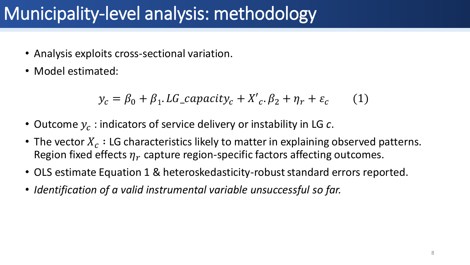# Municipality-level analysis: methodology

- Analysis exploits cross-sectional variation.
- Model estimated:

$$
y_c = \beta_0 + \beta_1 \cdot LG\_capacity_c + X'_c \cdot \beta_2 + \eta_r + \varepsilon_c \tag{1}
$$

- $\bullet$  Outcome  $y_c$  : indicators of service delivery or instability in LG  $c$ .
- The vector  $X_c$  : LG characteristics likely to matter in explaining observed patterns. Region fixed effects  $\eta_r$  capture region-specific factors affecting outcomes.
- OLS estimate Equation 1 & heteroskedasticity-robust standard errors reported.
- *Identification of a valid instrumental variable unsuccessful so far.*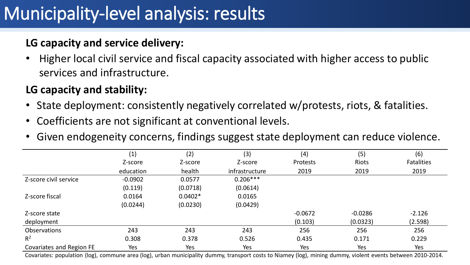# Municipality-level analysis: results

### **LG capacity and service delivery:**

• Higher local civil service and fiscal capacity associated with higher access to public services and infrastructure.

### **LG capacity and stability:**

- State deployment: consistently negatively correlated w/protests, riots, & fatalities.
- Coefficients are not significant at conventional levels.
- Given endogeneity concerns, findings suggest state deployment can reduce violence.

|                          | (1)       | (2)       | (3)            | (4)             | (5)       | (6)               |
|--------------------------|-----------|-----------|----------------|-----------------|-----------|-------------------|
|                          | Z-score   | Z-score   | Z-score        | <b>Protests</b> | Riots     | <b>Fatalities</b> |
|                          | education | health    | infrastructure | 2019            | 2019      | 2019              |
| Z-score civil service    | $-0.0902$ | 0.0577    | $0.206***$     |                 |           |                   |
|                          | (0.119)   | (0.0718)  | (0.0614)       |                 |           |                   |
| Z-score fiscal           | 0.0164    | $0.0402*$ | 0.0165         |                 |           |                   |
|                          | (0.0244)  | (0.0230)  | (0.0429)       |                 |           |                   |
| Z-score state            |           |           |                | $-0.0672$       | $-0.0286$ | $-2.126$          |
| deployment               |           |           |                | (0.103)         | (0.0323)  | (2.598)           |
| <b>Observations</b>      | 243       | 243       | 243            | 256             | 256       | 256               |
| $R^2$                    | 0.308     | 0.378     | 0.526          | 0.435           | 0.171     | 0.229             |
| Covariates and Region FE | Yes       | Yes       | Yes            | Yes             | Yes       | Yes               |

9 Covariates: population (log), commune area (log), urban municipality dummy, transport costs to Niamey (log), mining dummy, violent events between 2010-2014.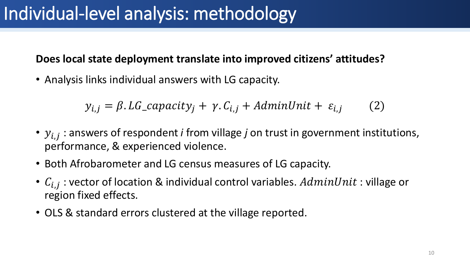# Individual-level analysis: methodology

#### **Does local state deployment translate into improved citizens' attitudes?**

• Analysis links individual answers with LG capacity.

 $y_{i,j} = \beta$ . LG\_capacity<sub>i</sub> + y. C<sub>i,j</sub> + AdminUnit +  $\varepsilon_{i,j}$  (2)

- $y_{i,j}$  : answers of respondent *i* from village *j* on trust in government institutions, performance, & experienced violence.
- Both Afrobarometer and LG census measures of LG capacity.
- $C_{i,j}$  : vector of location & individual control variables.  $AdminUnit$  : village or region fixed effects.
- OLS & standard errors clustered at the village reported.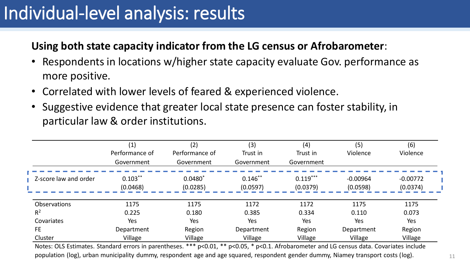## Individual-level analysis: results

#### **Using both state capacity indicator from the LG census or Afrobarometer**:

- Respondents in locations w/higher state capacity evaluate Gov. performance as more positive.
- Correlated with lower levels of feared & experienced violence.
- Suggestive evidence that greater local state presence can foster stability, in particular law & order institutions.

|                       | (1)<br>Performance of<br>Government | (2)<br>Performance of<br>Government | (3)<br>Trust in<br>Government | (4)<br>Trust in<br>Government | (5)<br>Violence        | (6)<br>Violence        |
|-----------------------|-------------------------------------|-------------------------------------|-------------------------------|-------------------------------|------------------------|------------------------|
| Z-score law and order | $0.103***$<br>(0.0468)              | $0.0480*$<br>(0.0285)               | $0.146***$<br>(0.0597)        | $0.119***$<br>(0.0379)        | $-0.00964$<br>(0.0598) | $-0.00772$<br>(0.0374) |
| <b>Observations</b>   | 1175                                | 1175                                | 1172                          | 1172                          | 1175                   | 1175                   |
| R <sup>2</sup>        | 0.225                               | 0.180                               | 0.385                         | 0.334                         | 0.110                  | 0.073                  |
| Covariates            | Yes                                 | Yes                                 | Yes                           | Yes                           | Yes                    | Yes                    |
| <b>FE</b>             | Department                          | Region                              | Department                    | Region                        | Department             | Region                 |
| Cluster               | Village                             | Village                             | Village                       | Village                       | Village                | Village                |

Notes: OLS Estimates. Standard errors in parentheses. \*\*\* p<0.01, \*\* p<0.05, \* p<0.1. Afrobarometer and LG census data. Covariates include population (log), urban municipality dummy, respondent age and age squared, respondent gender dummy, Niamey transport costs (log).  $11$